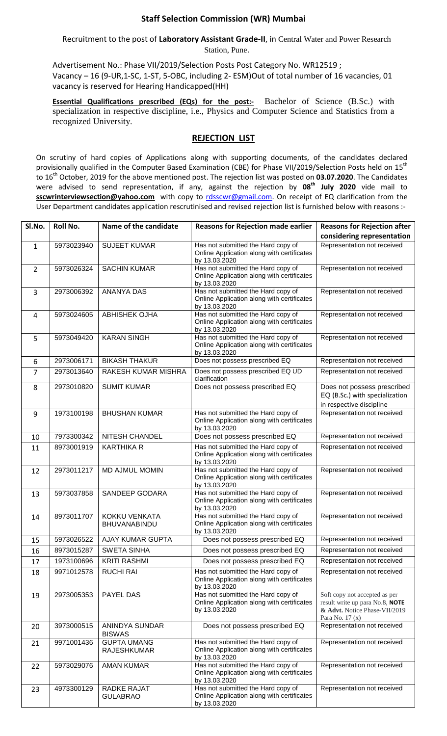## **Staff Selection Commission (WR) Mumbai**

Recruitment to the post of **Laboratory Assistant Grade-II**, in Central Water and Power Research Station, Pune.

Advertisement No.: Phase VII/2019/Selection Posts Post Category No. WR12519 ; Vacancy – 16 (9-UR,1-SC, 1-ST, 5-OBC, including 2- ESM)Out of total number of 16 vacancies, 01 vacancy is reserved for Hearing Handicapped(HH)

**Essential Qualifications prescribed (EQs) for the post:-** Bachelor of Science (B.Sc.) with specialization in respective discipline, i.e., Physics and Computer Science and Statistics from a recognized University.

## **REJECTION LIST**

On scrutiny of hard copies of Applications along with supporting documents, of the candidates declared provisionally qualified in the Computer Based Examination (CBE) for Phase VII/2019/Selection Posts held on 15<sup>th</sup> to 16th October, 2019 for the above mentioned post. The rejection list was posted on **03.07.2020**. The Candidates were advised to send representation, if any, against the rejection by **08th July 2020** vide mail to **sscwrinterviewsection@yahoo.com** with copy to [rdsscwr@gmail.com.](mailto:rdsscwr@gmail.com) On receipt of EQ clarification from the User Department candidates application rescrutinised and revised rejection list is furnished below with reasons :-

| Sl.No.         | Roll No.   | Name of the candidate                    | <b>Reasons for Rejection made earlier</b>                                                         | <b>Reasons for Rejection after</b>                                                                                   |
|----------------|------------|------------------------------------------|---------------------------------------------------------------------------------------------------|----------------------------------------------------------------------------------------------------------------------|
|                |            |                                          |                                                                                                   | considering representation                                                                                           |
| $\mathbf{1}$   | 5973023940 | <b>SUJEET KUMAR</b>                      | Has not submitted the Hard copy of<br>Online Application along with certificates<br>by 13.03.2020 | Representation not received                                                                                          |
| $\overline{2}$ | 5973026324 | <b>SACHIN KUMAR</b>                      | Has not submitted the Hard copy of<br>Online Application along with certificates<br>by 13.03.2020 | Representation not received                                                                                          |
| 3              | 2973006392 | <b>ANANYA DAS</b>                        | Has not submitted the Hard copy of<br>Online Application along with certificates<br>by 13.03.2020 | Representation not received                                                                                          |
| 4              | 5973024605 | <b>ABHISHEK OJHA</b>                     | Has not submitted the Hard copy of<br>Online Application along with certificates<br>by 13.03.2020 | Representation not received                                                                                          |
| 5              | 5973049420 | <b>KARAN SINGH</b>                       | Has not submitted the Hard copy of<br>Online Application along with certificates<br>by 13.03.2020 | Representation not received                                                                                          |
| 6              | 2973006171 | <b>BIKASH THAKUR</b>                     | Does not possess prescribed EQ                                                                    | Representation not received                                                                                          |
| $\overline{7}$ | 2973013640 | <b>RAKESH KUMAR MISHRA</b>               | Does not possess prescribed EQ UD<br>clarification                                                | Representation not received                                                                                          |
| 8              | 2973010820 | <b>SUMIT KUMAR</b>                       | Does not possess prescribed EQ                                                                    | Does not possess prescribed<br>EQ (B.Sc.) with specialization<br>in respective discipline                            |
| 9              | 1973100198 | <b>BHUSHAN KUMAR</b>                     | Has not submitted the Hard copy of<br>Online Application along with certificates<br>by 13.03.2020 | Representation not received                                                                                          |
| 10             | 7973300342 | <b>NITESH CHANDEL</b>                    | Does not possess prescribed EQ                                                                    | Representation not received                                                                                          |
| 11             | 8973001919 | <b>KARTHIKA R</b>                        | Has not submitted the Hard copy of<br>Online Application along with certificates<br>by 13.03.2020 | Representation not received                                                                                          |
| 12             | 2973011217 | MD AJMUL MOMIN                           | Has not submitted the Hard copy of<br>Online Application along with certificates<br>by 13.03.2020 | Representation not received                                                                                          |
| 13             | 5973037858 | SANDEEP GODARA                           | Has not submitted the Hard copy of<br>Online Application along with certificates<br>by 13.03.2020 | Representation not received                                                                                          |
| 14             | 8973011707 | KOKKU VENKATA<br><b>BHUVANABINDU</b>     | Has not submitted the Hard copy of<br>Online Application along with certificates<br>by 13.03.2020 | Representation not received                                                                                          |
| 15             | 5973026522 | <b>AJAY KUMAR GUPTA</b>                  | Does not possess prescribed EQ                                                                    | Representation not received                                                                                          |
| 16             | 8973015287 | SWETA SINHA                              | Does not possess prescribed EQ                                                                    | Representation not received                                                                                          |
| 17             | 1973100696 | <b>KRITI RASHMI</b>                      | Does not possess prescribed EQ                                                                    | Representation not received                                                                                          |
| 18             | 9971012578 | <b>RUCHI RAI</b>                         | Has not submitted the Hard copy of<br>Online Application along with certificates<br>by 13.03.2020 | Representation not received                                                                                          |
| 19             | 2973005353 | PAYEL DAS                                | Has not submitted the Hard copy of<br>Online Application along with certificates<br>by 13.03.2020 | Soft copy not accepted as per<br>result write up para No.8, NOTE<br>& Advt. Notice Phase-VII/2019<br>Para No. 17 (x) |
| 20             | 3973000515 | ANINDYA SUNDAR<br><b>BISWAS</b>          | Does not possess prescribed EQ                                                                    | Representation not received                                                                                          |
| 21             | 9971001436 | <b>GUPTA UMANG</b><br><b>RAJESHKUMAR</b> | Has not submitted the Hard copy of<br>Online Application along with certificates<br>by 13.03.2020 | Representation not received                                                                                          |
| 22             | 5973029076 | <b>AMAN KUMAR</b>                        | Has not submitted the Hard copy of<br>Online Application along with certificates<br>by 13.03.2020 | Representation not received                                                                                          |
| 23             | 4973300129 | RADKE RAJAT<br><b>GULABRAO</b>           | Has not submitted the Hard copy of<br>Online Application along with certificates<br>by 13.03.2020 | Representation not received                                                                                          |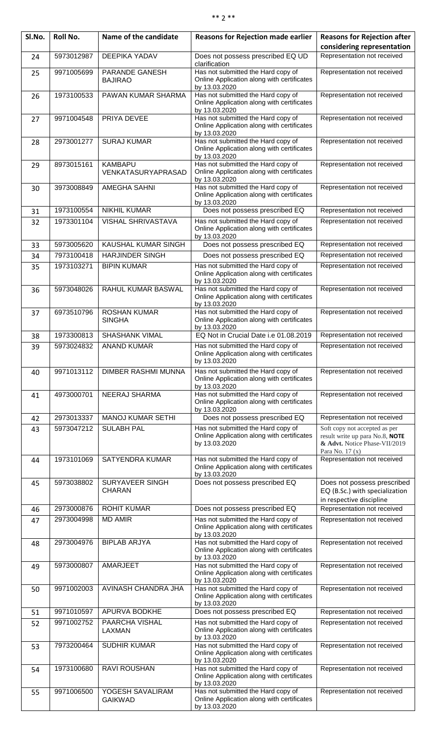| SI.No. | Roll No.   | Name of the candidate                | <b>Reasons for Rejection made earlier</b>                                                         | <b>Reasons for Rejection after</b><br>considering representation                                                      |
|--------|------------|--------------------------------------|---------------------------------------------------------------------------------------------------|-----------------------------------------------------------------------------------------------------------------------|
| 24     | 5973012987 | <b>DEEPIKA YADAV</b>                 | Does not possess prescribed EQ UD<br>clarification                                                | Representation not received                                                                                           |
| 25     | 9971005699 | PARANDE GANESH<br><b>BAJIRAO</b>     | Has not submitted the Hard copy of<br>Online Application along with certificates<br>by 13.03.2020 | Representation not received                                                                                           |
| 26     | 1973100533 | PAWAN KUMAR SHARMA                   | Has not submitted the Hard copy of<br>Online Application along with certificates<br>by 13.03.2020 | Representation not received                                                                                           |
| 27     | 9971004548 | PRIYA DEVEE                          | Has not submitted the Hard copy of<br>Online Application along with certificates<br>by 13.03.2020 | Representation not received                                                                                           |
| 28     | 2973001277 | <b>SURAJ KUMAR</b>                   | Has not submitted the Hard copy of<br>Online Application along with certificates<br>by 13.03.2020 | Representation not received                                                                                           |
| 29     | 8973015161 | <b>KAMBAPU</b><br>VENKATASURYAPRASAD | Has not submitted the Hard copy of<br>Online Application along with certificates<br>by 13.03.2020 | Representation not received                                                                                           |
| 30     | 3973008849 | <b>AMEGHA SAHNI</b>                  | Has not submitted the Hard copy of<br>Online Application along with certificates<br>by 13.03.2020 | Representation not received                                                                                           |
| 31     | 1973100554 | <b>NIKHIL KUMAR</b>                  | Does not possess prescribed EQ                                                                    | Representation not received                                                                                           |
| 32     | 1973301104 | <b>VISHAL SHRIVASTAVA</b>            | Has not submitted the Hard copy of<br>Online Application along with certificates<br>by 13.03.2020 | Representation not received                                                                                           |
| 33     | 5973005620 | KAUSHAL KUMAR SINGH                  | Does not possess prescribed EQ                                                                    | Representation not received                                                                                           |
| 34     | 7973100418 | <b>HARJINDER SINGH</b>               | Does not possess prescribed EQ                                                                    | Representation not received                                                                                           |
| 35     | 1973103271 | <b>BIPIN KUMAR</b>                   | Has not submitted the Hard copy of<br>Online Application along with certificates<br>by 13.03.2020 | Representation not received                                                                                           |
| 36     | 5973048026 | RAHUL KUMAR BASWAL                   | Has not submitted the Hard copy of<br>Online Application along with certificates<br>by 13.03.2020 | Representation not received                                                                                           |
| 37     | 6973510796 | <b>ROSHAN KUMAR</b><br><b>SINGHA</b> | Has not submitted the Hard copy of<br>Online Application along with certificates<br>by 13.03.2020 | Representation not received                                                                                           |
| 38     | 1973300813 | <b>SHASHANK VIMAL</b>                | EQ Not in Crucial Date i.e 01.08.2019                                                             | Representation not received                                                                                           |
| 39     | 5973024832 | <b>ANAND KUMAR</b>                   | Has not submitted the Hard copy of<br>Online Application along with certificates<br>by 13.03.2020 | Representation not received                                                                                           |
| 40     | 9971013112 | DIMBER RASHMI MUNNA                  | Has not submitted the Hard copy of<br>Online Application along with certificates<br>by 13.03.2020 | Representation not received                                                                                           |
| 41     | 4973000701 | NEERAJ SHARMA                        | Has not submitted the Hard copy of<br>Online Application along with certificates<br>by 13.03.2020 | Representation not received                                                                                           |
| 42     | 2973013337 | <b>MANOJ KUMAR SETHI</b>             | Does not possess prescribed EQ                                                                    | Representation not received                                                                                           |
| 43     | 5973047212 | <b>SULABH PAL</b>                    | Has not submitted the Hard copy of<br>Online Application along with certificates<br>by 13.03.2020 | Soft copy not accepted as per<br>result write up para No.8, NOTE<br>& Advt. Notice Phase-VII/2019<br>Para No. $17(x)$ |
| 44     | 1973101069 | SATYENDRA KUMAR                      | Has not submitted the Hard copy of<br>Online Application along with certificates<br>by 13.03.2020 | Representation not received                                                                                           |
| 45     | 5973038802 | SURYAVEER SINGH<br><b>CHARAN</b>     | Does not possess prescribed EQ                                                                    | Does not possess prescribed<br>EQ (B.Sc.) with specialization<br>in respective discipline                             |
| 46     | 2973000876 | <b>ROHIT KUMAR</b>                   | Does not possess prescribed EQ                                                                    | Representation not received                                                                                           |
|        | 0070001000 | <b>MD AMID</b>                       | والمعرضا الصمائة المصفقة معرمان بصرفها                                                            |                                                                                                                       |

| 44 | 1973 IU IUUS | OATTENURA NUMAR                  | <b>I</b> las flot subfilitied the Flatu copy of<br>Online Application along with certificates<br>by 13.03.2020 | INGPIGSGHIQUUTTIULTGUGIVGU                                                                |
|----|--------------|----------------------------------|----------------------------------------------------------------------------------------------------------------|-------------------------------------------------------------------------------------------|
| 45 | 5973038802   | SURYAVEER SINGH<br><b>CHARAN</b> | Does not possess prescribed EQ                                                                                 | Does not possess prescribed<br>EQ (B.Sc.) with specialization<br>in respective discipline |
| 46 | 2973000876   | <b>ROHIT KUMAR</b>               | Does not possess prescribed EQ                                                                                 | Representation not received                                                               |
| 47 | 2973004998   | <b>MD AMIR</b>                   | Has not submitted the Hard copy of<br>Online Application along with certificates<br>by 13.03.2020              | Representation not received                                                               |
| 48 | 2973004976   | <b>BIPLAB ARJYA</b>              | Has not submitted the Hard copy of<br>Online Application along with certificates<br>by 13.03.2020              | Representation not received                                                               |
| 49 | 5973000807   | AMARJEET                         | Has not submitted the Hard copy of<br>Online Application along with certificates<br>by 13.03.2020              | Representation not received                                                               |
| 50 | 9971002003   | AVINASH CHANDRA JHA              | Has not submitted the Hard copy of<br>Online Application along with certificates<br>by 13.03.2020              | Representation not received                                                               |
| 51 | 9971010597   | <b>APURVA BODKHE</b>             | Does not possess prescribed EQ                                                                                 | Representation not received                                                               |
| 52 | 9971002752   | <b>PAARCHA VISHAL</b><br>LAXMAN  | Has not submitted the Hard copy of<br>Online Application along with certificates<br>by 13.03.2020              | Representation not received                                                               |
| 53 | 7973200464   | <b>SUDHIR KUMAR</b>              | Has not submitted the Hard copy of<br>Online Application along with certificates<br>by 13.03.2020              | Representation not received                                                               |
| 54 | 1973100680   | <b>RAVI ROUSHAN</b>              | Has not submitted the Hard copy of<br>Online Application along with certificates<br>by 13.03.2020              | Representation not received                                                               |
| 55 | 9971006500   | YOGESH SAVALIRAM                 | Has not submitted the Hard copy of                                                                             | Representation not received                                                               |

by 13.03.2020

Has not submitted the Hard copy of Online Application along with certificates

55 9971006500 YOGESH SAVALIRAM

GAIKWAD